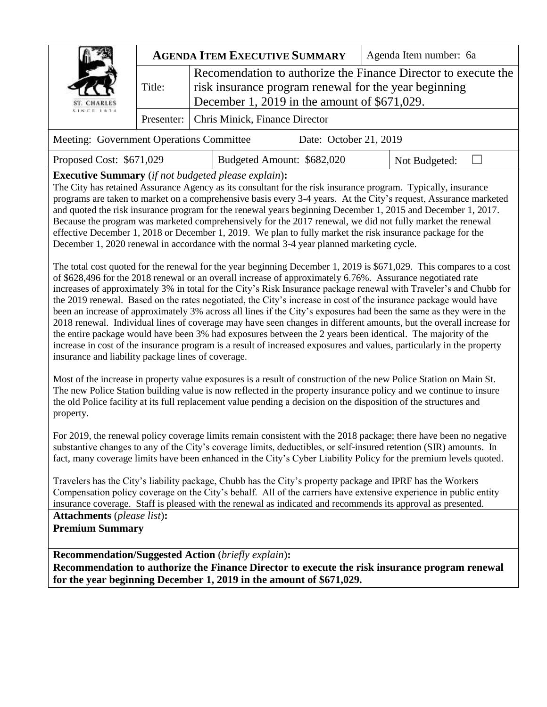| <b>ST. CHARLES</b><br>$5.1 \times C = 1.634$ | <b>AGENDA ITEM EXECUTIVE SUMMARY</b> |                                                                                                                                                                         | Agenda Item number: 6a |  |
|----------------------------------------------|--------------------------------------|-------------------------------------------------------------------------------------------------------------------------------------------------------------------------|------------------------|--|
|                                              | Title:                               | Recomendation to authorize the Finance Director to execute the<br>risk insurance program renewal for the year beginning<br>December 1, 2019 in the amount of \$671,029. |                        |  |
|                                              |                                      | Presenter:   Chris Minick, Finance Director                                                                                                                             |                        |  |
|                                              |                                      | $\mathbf{r}$ . The set of $\mathbf{r}$ is the set of $\mathbf{r}$<br>$\sim$ $\sim$ $\sim$ $\sim$ $\sim$ $\sim$ $\sim$                                                   |                        |  |

| Meeting: Government Operations Committee | Date: October 21, 2019 |  |
|------------------------------------------|------------------------|--|
|                                          |                        |  |

Proposed Cost: \$671,029 | Budgeted Amount: \$682,020 | Not Budgeted: □

**Executive Summary** (*if not budgeted please explain*)**:** 

The City has retained Assurance Agency as its consultant for the risk insurance program. Typically, insurance programs are taken to market on a comprehensive basis every 3-4 years. At the City's request, Assurance marketed and quoted the risk insurance program for the renewal years beginning December 1, 2015 and December 1, 2017. Because the program was marketed comprehensively for the 2017 renewal, we did not fully market the renewal effective December 1, 2018 or December 1, 2019. We plan to fully market the risk insurance package for the December 1, 2020 renewal in accordance with the normal 3-4 year planned marketing cycle.

The total cost quoted for the renewal for the year beginning December 1, 2019 is \$671,029. This compares to a cost of \$628,496 for the 2018 renewal or an overall increase of approximately 6.76%. Assurance negotiated rate increases of approximately 3% in total for the City's Risk Insurance package renewal with Traveler's and Chubb for the 2019 renewal. Based on the rates negotiated, the City's increase in cost of the insurance package would have been an increase of approximately 3% across all lines if the City's exposures had been the same as they were in the 2018 renewal. Individual lines of coverage may have seen changes in different amounts, but the overall increase for the entire package would have been 3% had exposures between the 2 years been identical. The majority of the increase in cost of the insurance program is a result of increased exposures and values, particularly in the property insurance and liability package lines of coverage.

Most of the increase in property value exposures is a result of construction of the new Police Station on Main St. The new Police Station building value is now reflected in the property insurance policy and we continue to insure the old Police facility at its full replacement value pending a decision on the disposition of the structures and property.

For 2019, the renewal policy coverage limits remain consistent with the 2018 package; there have been no negative substantive changes to any of the City's coverage limits, deductibles, or self-insured retention (SIR) amounts. In fact, many coverage limits have been enhanced in the City's Cyber Liability Policy for the premium levels quoted.

Travelers has the City's liability package, Chubb has the City's property package and IPRF has the Workers Compensation policy coverage on the City's behalf. All of the carriers have extensive experience in public entity insurance coverage. Staff is pleased with the renewal as indicated and recommends its approval as presented.

**Attachments** (*please list*)**: Premium Summary**

**Recommendation/Suggested Action** (*briefly explain*)**: Recommendation to authorize the Finance Director to execute the risk insurance program renewal for the year beginning December 1, 2019 in the amount of \$671,029.**